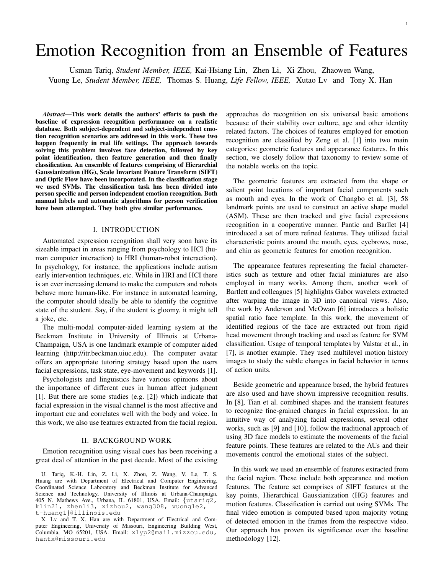# Emotion Recognition from an Ensemble of Features

Usman Tariq, *Student Member, IEEE,* Kai-Hsiang Lin, Zhen Li, Xi Zhou, Zhaowen Wang, Vuong Le, *Student Member, IEEE,* Thomas S. Huang, *Life Fellow, IEEE,* Xutao Lv and Tony X. Han

*Abstract*—This work details the authors' efforts to push the baseline of expression recognition performance on a realistic database. Both subject-dependent and subject-independent emotion recognition scenarios are addressed in this work. These two happen frequently in real life settings. The approach towards solving this problem involves face detection, followed by key point identification, then feature generation and then finally classification. An ensemble of features comprising of Hierarchial Gaussianization (HG), Scale Invariant Feature Transform (SIFT) and Optic Flow have been incorporated. In the classification stage we used SVMs. The classification task has been divided into person specific and person independent emotion recognition. Both manual labels and automatic algorithms for person verification have been attempted. They both give similar performance.

## I. INTRODUCTION

Automated expression recognition shall very soon have its sizeable impact in areas ranging from psychology to HCI (human computer interaction) to HRI (human-robot interaction). In psychology, for instance, the applications include autism early intervention techniques, etc. While in HRI and HCI there is an ever increasing demand to make the computers and robots behave more human-like. For instance in automated learning, the computer should ideally be able to identify the cognitive state of the student. Say, if the student is gloomy, it might tell a joke, etc.

The multi-modal computer-aided learning system at the Beckman Institute in University of Illinois at Urbana-Champaign, USA is one landmark example of computer aided learning (http://itr.beckman.uiuc.edu). The computer avatar offers an appropriate tutoring strategy based upon the users facial expressions, task state, eye-movement and keywords [1].

Psychologists and linguistics have various opinions about the importance of different cues in human affect judgment [1]. But there are some studies (e.g. [2]) which indicate that facial expression in the visual channel is the most affective and important cue and correlates well with the body and voice. In this work, we also use features extracted from the facial region.

#### II. BACKGROUND WORK

Emotion recognition using visual cues has been receiving a great deal of attention in the past decade. Most of the existing

U. Tariq, K.-H. Lin, Z. Li, X. Zhou, Z. Wang, V. Le, T. S. Huang are with Department of Electrical and Computer Engineering, Coordinated Science Laboratory and Beckman Institute for Advanced Science and Technology, University of Illinois at Urbana-Champaign, 405 N. Mathews Ave., Urbana, IL 61801, USA. Email: *{*utariq2, klin21, zhenli3, xizhou2, wang308, vuongle2, t-huang1*}*@illinois.edu

X. Lv and T. X. Han are with Department of Electrical and Computer Engineering, University of Missouri, Engineering Building West, Columbia, MO 65201, USA. Email: xlyp2@mail.mizzou.edu, hantx@missouri.edu

approaches do recognition on six universal basic emotions because of their stability over culture, age and other identity related factors. The choices of features employed for emotion recognition are classified by Zeng et al. [1] into two main categories: geometric features and appearance features. In this section, we closely follow that taxonomy to review some of the notable works on the topic.

The geometric features are extracted from the shape or salient point locations of important facial components such as mouth and eyes. In the work of Changbo et al. [3], 58 landmark points are used to construct an active shape model (ASM). These are then tracked and give facial expressions recognition in a cooperative manner. Pantic and Barllet [4] introduced a set of more refined features. They utilized facial characteristic points around the mouth, eyes, eyebrows, nose, and chin as geometric features for emotion recognition.

The appearance features representing the facial characteristics such as texture and other facial miniatures are also employed in many works. Among them, another work of Bartlett and colleagues [5] highlights Gabor wavelets extracted after warping the image in 3D into canonical views. Also, the work by Anderson and McOwan [6] introduces a holistic spatial ratio face template. In this work, the movement of identified regions of the face are extracted out from rigid head movement through tracking and used as feature for SVM classification. Usage of temporal templates by Valstar et al., in [7], is another example. They used multilevel motion history images to study the subtle changes in facial behavior in terms of action units.

Beside geometric and appearance based, the hybrid features are also used and have shown impressive recognition results. In [8], Tian et al. combined shapes and the transient features to recognize fine-grained changes in facial expression. In an intuitive way of analyzing facial expressions, several other works, such as [9] and [10], follow the traditional approach of using 3D face models to estimate the movements of the facial feature points. These features are related to the AUs and their movements control the emotional states of the subject.

In this work we used an ensemble of features extracted from the facial region. These include both appearance and motion features. The feature set comprises of SIFT features at the key points, Hierarchical Gaussianization (HG) features and motion features. Classification is carried out using SVMs. The final video emotion is computed based upon majority voting of detected emotion in the frames from the respective video. Our approach has proven its significance over the baseline methodology [12].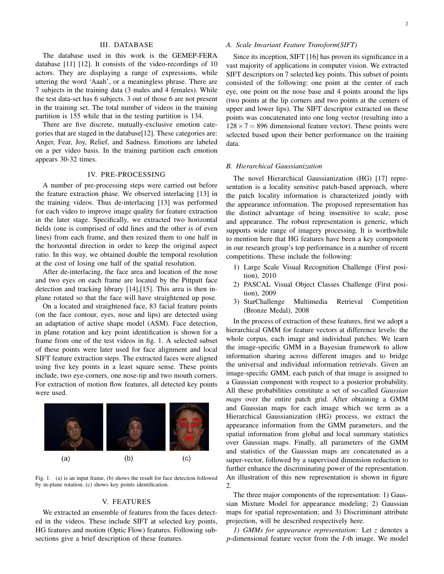## III. DATABASE

The database used in this work is the GEMEP-FERA database [11] [12]. It consists of the video-recordings of 10 actors. They are displaying a range of expressions, while uttering the word 'Aaah', or a meaningless phrase. There are 7 subjects in the training data (3 males and 4 females). While the test data-set has 6 subjects. 3 out of those 6 are not present in the training set. The total number of videos in the training partition is 155 while that in the testing partition is 134.

There are five discrete, mutually-exclusive emotion categories that are staged in the database[12]. These categories are: Anger, Fear, Joy, Relief, and Sadness. Emotions are labeled on a per video basis. In the training partition each emotion appears 30-32 times.

#### IV. PRE-PROCESSING

A number of pre-processing steps were carried out before the feature extraction phase. We observed interlacing [13] in the training videos. Thus de-interlacing [13] was performed for each video to improve image quality for feature extraction in the later stage. Specifically, we extracted two horizontal fields (one is comprised of odd lines and the other is of even lines) from each frame, and then resized them to one half in the horizontal direction in order to keep the original aspect ratio. In this way, we obtained double the temporal resolution at the cost of losing one half of the spatial resolution.

After de-interlacing, the face area and location of the nose and two eyes on each frame are located by the Pittpatt face detection and tracking library [14],[15]. This area is then inplane rotated so that the face will have straightened up pose.

On a located and straightened face, 83 facial feature points (on the face contour, eyes, nose and lips) are detected using an adaptation of active shape model (ASM). Face detection, in plane rotation and key point identification is shown for a frame from one of the test videos in fig. 1. A selected subset of these points were later used for face alignment and local SIFT feature extraction steps. The extracted faces were aligned using five key points in a least square sense. These points include, two eye-corners, one nose-tip and two mouth corners. For extraction of motion flow features, all detected key points were used.



Fig. 1. (a) is an input frame, (b) shows the result for face detection followed by in-plane rotation, (c) shows key points identification.

## V. FEATURES

We extracted an ensemble of features from the faces detected in the videos. These include SIFT at selected key points, HG features and motion (Optic Flow) features. Following subsections give a brief description of these features.

#### *A. Scale Invariant Feature Transform(SIFT)*

Since its inception, SIFT [16] has proven its significance in a vast majority of applications in computer vision. We extracted SIFT descriptors on 7 selected key points. This subset of points consisted of the following: one point at the center of each eye, one point on the nose base and 4 points around the lips (two points at the lip corners and two points at the centers of upper and lower lips). The SIFT descriptor extracted on these points was concatenated into one long vector (resulting into a  $128 \times 7 = 896$  dimensional feature vector). These points were selected based upon their better performance on the training data.

## *B. Hierarchical Gaussianization*

The novel Hierarchical Gaussianization (HG) [17] representation is a locality sensitive patch-based approach, where the patch locality information is characterized jointly with the appearance information. The proposed representation has the distinct advantage of being insensitive to scale, pose and appearance. The robust representation is generic, which supports wide range of imagery processing. It is worthwhile to mention here that HG features have been a key component in our research group's top performance in a number of recent competitions. These include the following:

- 1) Large Scale Visual Recognition Challenge (First position), 2010
- 2) PASCAL Visual Object Classes Challenge (First position), 2009
- 3) StarChallenge Multimedia Retrieval Competition (Bronze Medal), 2008

In the process of extraction of these features, first we adopt a hierarchical GMM for feature vectors at difference levels: the whole corpus, each image and individual patches. We learn the image-specific GMM in a Bayesian framework to allow information sharing across different images and to bridge the universal and individual information retrievals. Given an image-specific GMM, each patch of that image is assigned to a Gaussian component with respect to a posterior probability. All these probabilities constitute a set of so-called *Gaussian maps* over the entire patch grid. After obtaining a GMM and Gaussian maps for each image which we term as a Hierarchical Gaussianization (HG) process, we extract the appearance information from the GMM parameters, and the spatial information from global and local summary statistics over Gaussian maps. Finally, all parameters of the GMM and statistics of the Gaussian maps are concatenated as a super-vector, followed by a supervised dimension reduction to further enhance the discriminating power of the representation. An illustration of this new representation is shown in figure 2.

The three major components of the representation: 1) Gaussian Mixture Model for appearance modeling; 2) Gaussian maps for spatial representation; and 3) Discriminant attribute projection, will be described respectively here.

*1) GMMs for appearance representation:* Let *z* denotes a *p*-dimensional feature vector from the *I*-th image. We model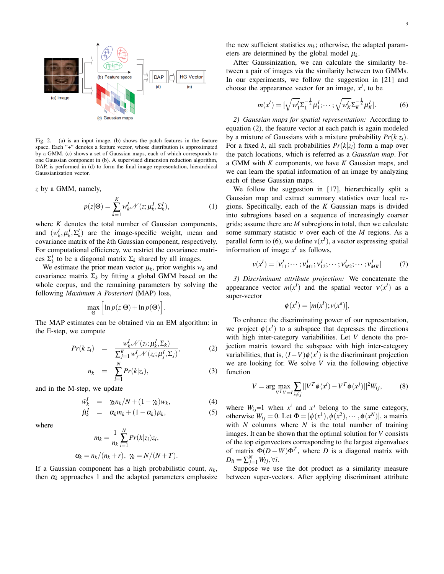

Fig. 2. (a) is an input image. (b) shows the patch features in the feature space. Each "+" denotes a feature vector, whose distribution is approximated by a GMM. (c) shows a set of Gaussian maps, each of which corresponds to one Gaussian component in (b). A supervised dimension reduction algorithm, DAP, is performed in (d) to form the final image representation, hierarchical Gaussianization vector.

*z* by a GMM, namely,

$$
p(z|\Theta) = \sum_{k=1}^{K} w_k^I \mathcal{N}(z; \mu_k^I, \Sigma_k^I),
$$
 (1)

where *K* denotes the total number of Gaussian components, and  $(w_k^I, \mu_k^I, \Sigma_k^I)$  are the image-specific weight, mean and covariance matrix of the *k*th Gaussian component, respectively. For computational efficiency, we restrict the covariance matrices  $\Sigma_k^I$  to be a diagonal matrix  $\Sigma_k$  shared by all images.

We estimate the prior mean vector  $\mu_k$ , prior weights  $w_k$  and covariance matrix  $\Sigma_k$  by fitting a global GMM based on the whole corpus, and the remaining parameters by solving the following *Maximum A Posteriori* (MAP) loss,

$$
\max_{\Theta} \Big[ \ln p(z|\Theta) + \ln p(\Theta) \Big].
$$

The MAP estimates can be obtained via an EM algorithm: in the E-step, we compute

$$
Pr(k|z_i) = \frac{w_k^I \mathcal{N}(z_i; \mu_k^I, \Sigma_k)}{\sum_{j=1}^K w_{j}^I \mathcal{N}(z_i; \mu_j^I, \Sigma_j)},
$$
(2)

$$
n_k = \sum_{i=1}^N Pr(k|z_i), \qquad (3)
$$

and in the M-step, we update

$$
\hat{w}_k^I = \gamma_k n_k / N + (1 - \gamma_k) w_k, \tag{4}
$$

$$
\hat{\mu}_k^I = \alpha_k m_k + (1 - \alpha_k) \mu_k, \qquad (5)
$$

where

$$
m_k = \frac{1}{n_k} \sum_{i=1}^N Pr(k|z_i)z_i,
$$
  

$$
\alpha_k = n_k/(n_k + r), \ \gamma_k = N/(N + T).
$$

If a Gaussian component has a high probabilistic count,  $n_k$ , then  $\alpha_k$  approaches 1 and the adapted parameters emphasize the new sufficient statistics  $m_k$ ; otherwise, the adapted parameters are determined by the global model  $\mu_k$ .

After Gaussinization, we can calculate the similarity between a pair of images via the similarity between two GMMs. In our experiments, we follow the suggestion in [21] and choose the appearance vector for an image,  $x^I$ , to be

$$
m(x^{I}) = [\sqrt{w_{1}^{I}} \Sigma_{1}^{-\frac{1}{2}} \mu_{1}^{I}; \cdots; \sqrt{w_{K}^{I}} \Sigma_{K}^{-\frac{1}{2}} \mu_{K}^{I}].
$$
 (6)

*2) Gaussian maps for spatial representation:* According to equation (2), the feature vector at each patch is again modeled by a mixture of Gaussians with a mixture probability  $Pr(k|z_i)$ . For a fixed *k*, all such probabilities  $Pr(k|z_i)$  form a map over the patch locations, which is referred as a *Gaussian map*. For a GMM with *K* components, we have *K* Gaussian maps, and we can learn the spatial information of an image by analyzing each of these Gaussian maps.

We follow the suggestion in [17], hierarchically split a Gaussian map and extract summary statistics over local regions. Specifically, each of the *K* Gaussian maps is divided into subregions based on a sequence of increasingly coarser grids; assume there are *M* subregions in total, then we calculate some summary statistic <sup>ν</sup> over each of the *M* regions. As a parallel form to (6), we define  $v(x^I)$ , a vector expressing spatial information of image  $x^I$  as follows,

$$
v(x^{I}) = [v_{11}^{I}; \cdots; v_{M1}^{I}; v_{12}^{I}; \cdots; v_{M2}^{I}; \cdots; v_{MK}^{I}]
$$
 (7)

*3) Discriminant attribute projection:* We concatenate the appearance vector  $m(x^I)$  and the spatial vector  $v(x^I)$  as a super-vector

$$
\phi(x^I) = [m(x^I); v(x^a)],
$$

To enhance the discriminating power of our representation, we project  $\phi(x^I)$  to a subspace that depresses the directions with high inter-category variabilities. Let *V* denote the projection matrix toward the subspace with high inter-category variabilities, that is,  $(I - V)\phi(x^I)$  is the discriminant projection we are looking for. We solve *V* via the following objective function

$$
V = \arg \max_{V^{T}V = I} \sum_{i \neq j} ||V^{T} \phi(x^{i}) - V^{T} \phi(x^{j})||^{2} W_{ij},
$$
 (8)

where  $W_{ij}$ =1 when  $x^i$  and  $x^j$  belong to the same category, otherwise  $W_{ij} = 0$ . Let  $\Phi = [\phi(x^1), \phi(x^2), \cdots, \phi(x^N)]$ , a matrix with  $N$  columns where  $N$  is the total number of training images. It can be shown that the optimal solution for *V* consists of the top eigenvectors corresponding to the largest eigenvalues of matrix  $\Phi(D-W)\Phi^T$ , where *D* is a diagonal matrix with  $D_{ii} = \sum_{j=1}^{N} W_{ij}, \forall i.$ 

Suppose we use the dot product as a similarity measure between super-vectors. After applying discriminant attribute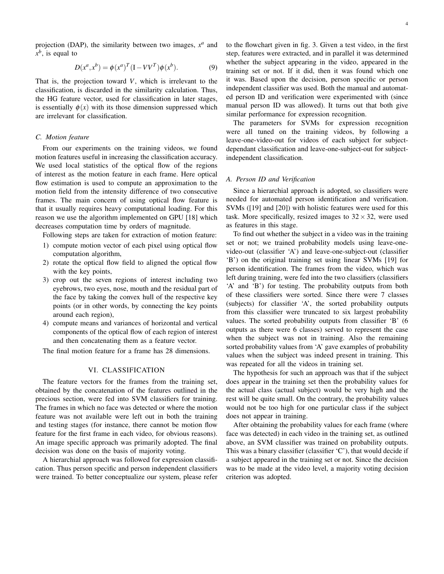projection (DAP), the similarity between two images,  $x^a$  and *x b* , is equal to

$$
D(x^a, x^b) = \phi(x^a)^T (I - VV^T) \phi(x^b).
$$
 (9)

That is, the projection toward *V*, which is irrelevant to the classification, is discarded in the similarity calculation. Thus, the HG feature vector, used for classification in later stages, is essentially  $\phi(x)$  with its those dimension suppressed which are irrelevant for classification.

## *C. Motion feature*

From our experiments on the training videos, we found motion features useful in increasing the classification accuracy. We used local statistics of the optical flow of the regions of interest as the motion feature in each frame. Here optical flow estimation is used to compute an approximation to the motion field from the intensity difference of two consecutive frames. The main concern of using optical flow feature is that it usually requires heavy computational loading. For this reason we use the algorithm implemented on GPU [18] which decreases computation time by orders of magnitude.

Following steps are taken for extraction of motion feature:

- 1) compute motion vector of each pixel using optical flow computation algorithm,
- 2) rotate the optical flow field to aligned the optical flow with the key points,
- 3) crop out the seven regions of interest including two eyebrows, two eyes, nose, mouth and the residual part of the face by taking the convex hull of the respective key points (or in other words, by connecting the key points around each region),
- 4) compute means and variances of horizontal and vertical components of the optical flow of each region of interest and then concatenating them as a feature vector.

The final motion feature for a frame has 28 dimensions.

## VI. CLASSIFICATION

The feature vectors for the frames from the training set, obtained by the concatenation of the features outlined in the precious section, were fed into SVM classifiers for training. The frames in which no face was detected or where the motion feature was not available were left out in both the training and testing stages (for instance, there cannot be motion flow feature for the first frame in each video, for obvious reasons). An image specific approach was primarily adopted. The final decision was done on the basis of majority voting.

A hierarchial approach was followed for expression classification. Thus person specific and person independent classifiers were trained. To better conceptualize our system, please refer to the flowchart given in fig. 3. Given a test video, in the first step, features were extracted, and in parallel it was determined whether the subject appearing in the video, appeared in the training set or not. If it did, then it was found which one it was. Based upon the decision, person specific or person independent classifier was used. Both the manual and automated person ID and verification were experimented with (since manual person ID was allowed). It turns out that both give similar performance for expression recognition.

The parameters for SVMs for expression recognition were all tuned on the training videos, by following a leave-one-video-out for videos of each subject for subjectdependant classification and leave-one-subject-out for subjectindependent classification.

## *A. Person ID and Verification*

Since a hierarchial approach is adopted, so classifiers were needed for automated person identification and verification. SVMs ([19] and [20]) with holistic features were used for this task. More specifically, resized images to  $32 \times 32$ , were used as features in this stage.

To find out whether the subject in a video was in the training set or not; we trained probability models using leave-onevideo-out (classifier 'A') and leave-one-subject-out (classifier 'B') on the original training set using linear SVMs [19] for person identification. The frames from the video, which was left during training, were fed into the two classifiers (classifiers 'A' and 'B') for testing. The probability outputs from both of these classifiers were sorted. Since there were 7 classes (subjects) for classifier 'A', the sorted probability outputs from this classifier were truncated to six largest probability values. The sorted probability outputs from classifier 'B' (6 outputs as there were 6 classes) served to represent the case when the subject was not in training. Also the remaining sorted probability values from 'A' gave examples of probability values when the subject was indeed present in training. This was repeated for all the videos in training set.

The hypothesis for such an approach was that if the subject does appear in the training set then the probability values for the actual class (actual subject) would be very high and the rest will be quite small. On the contrary, the probability values would not be too high for one particular class if the subject does not appear in training.

After obtaining the probability values for each frame (where face was detected) in each video in the training set, as outlined above, an SVM classifier was trained on probability outputs. This was a binary classifier (classifier 'C'), that would decide if a subject appeared in the training set or not. Since the decision was to be made at the video level, a majority voting decision criterion was adopted.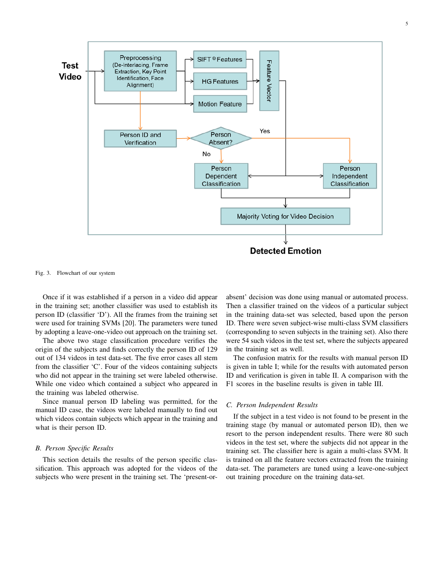

Fig. 3. Flowchart of our system

Once if it was established if a person in a video did appear in the training set; another classifier was used to establish its person ID (classifier 'D'). All the frames from the training set were used for training SVMs [20]. The parameters were tuned by adopting a leave-one-video out approach on the training set.

The above two stage classification procedure verifies the origin of the subjects and finds correctly the person ID of 129 out of 134 videos in test data-set. The five error cases all stem from the classifier 'C'. Four of the videos containing subjects who did not appear in the training set were labeled otherwise. While one video which contained a subject who appeared in the training was labeled otherwise.

Since manual person ID labeling was permitted, for the manual ID case, the videos were labeled manually to find out which videos contain subjects which appear in the training and what is their person ID.

## *B. Person Specific Results*

This section details the results of the person specific classification. This approach was adopted for the videos of the subjects who were present in the training set. The 'present-orabsent' decision was done using manual or automated process. Then a classifier trained on the videos of a particular subject in the training data-set was selected, based upon the person ID. There were seven subject-wise multi-class SVM classifiers (corresponding to seven subjects in the training set). Also there were 54 such videos in the test set, where the subjects appeared in the training set as well.

The confusion matrix for the results with manual person ID is given in table I; while for the results with automated person ID and verification is given in table II. A comparison with the F1 scores in the baseline results is given in table III.

## *C. Person Independent Results*

If the subject in a test video is not found to be present in the training stage (by manual or automated person ID), then we resort to the person independent results. There were 80 such videos in the test set, where the subjects did not appear in the training set. The classifier here is again a multi-class SVM. It is trained on all the feature vectors extracted from the training data-set. The parameters are tuned using a leave-one-subject out training procedure on the training data-set.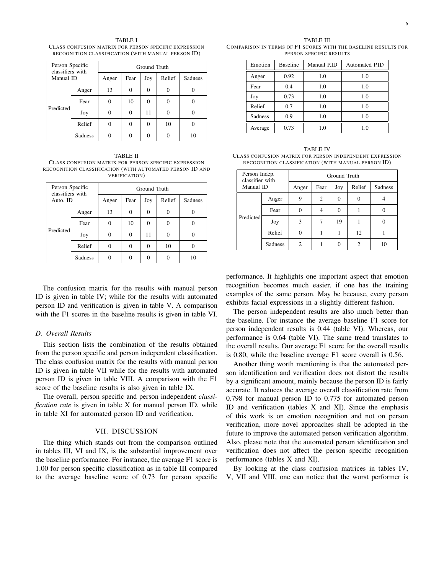TABLE I CLASS CONFUSION MATRIX FOR PERSON SPECIFIC EXPRESSION RECOGNITION CLASSIFICATION (WITH MANUAL PERSON ID)

| Person Specific<br>classifiers with<br>Manual ID |         | Ground Truth |      |          |        |         |  |
|--------------------------------------------------|---------|--------------|------|----------|--------|---------|--|
|                                                  |         | Anger        | Fear | Joy      | Relief | Sadness |  |
| Predicted                                        | Anger   | 13           | 0    | $\Omega$ |        |         |  |
|                                                  | Fear    |              | 10   | 0        |        |         |  |
|                                                  | Joy     |              |      | 11       |        |         |  |
|                                                  | Relief  |              |      | 0        | 10     |         |  |
|                                                  | Sadness |              |      |          |        | 10      |  |

TABLE II CLASS CONFUSION MATRIX FOR PERSON SPECIFIC EXPRESSION RECOGNITION CLASSIFICATION (WITH AUTOMATED PERSON ID AND VERIFICATION)

| Person Specific<br>classifiers with<br>Auto. ID |         | Ground Truth |          |          |          |         |  |
|-------------------------------------------------|---------|--------------|----------|----------|----------|---------|--|
|                                                 |         | Anger        | Fear     | Joy      | Relief   | Sadness |  |
|                                                 | Anger   | 13           | $\theta$ | $\theta$ | $\Omega$ |         |  |
| Predicted                                       | Fear    | 0            | 10       | 0        |          |         |  |
|                                                 | Joy     | 0            | 0        | 11       | $\Omega$ |         |  |
|                                                 | Relief  | 0            | 0        | 0        | 10       |         |  |
|                                                 | Sadness |              |          |          |          | 10      |  |

The confusion matrix for the results with manual person ID is given in table IV; while for the results with automated person ID and verification is given in table V. A comparison with the F1 scores in the baseline results is given in table VI.

### *D. Overall Results*

This section lists the combination of the results obtained from the person specific and person independent classification. The class confusion matrix for the results with manual person ID is given in table VII while for the results with automated person ID is given in table VIII. A comparison with the F1 score of the baseline results is also given in table IX.

The overall, person specific and person independent *classification rate* is given in table X for manual person ID, while in table XI for automated person ID and verification.

## VII. DISCUSSION

The thing which stands out from the comparison outlined in tables III, VI and IX, is the substantial improvement over the baseline performance. For instance, the average F1 score is 1.00 for person specific classification as in table III compared to the average baseline score of 0.73 for person specific

TABLE III COMPARISON IN TERMS OF F1 SCORES WITH THE BASELINE RESULTS FOR PERSON SPECIFIC RESULTS

| Emotion        | <b>Baseline</b> | Manual P.ID | Automated P.ID |
|----------------|-----------------|-------------|----------------|
| Anger          | 0.92            | 1.0         | 1.0            |
| Fear           | 0.4             | 1.0         | 1.0            |
| Joy            | 0.73            | 1.0         | 1.0            |
| Relief         | 0.7             | 1.0         | 1.0            |
| <b>Sadness</b> | 0.9             | 1.0         | 1.0            |
| Average        | 0.73            | 1.0         | 1.0            |

TABLE IV CLASS CONFUSION MATRIX FOR PERSON INDEPENDENT EXPRESSION RECOGNITION CLASSIFICATION (WITH MANUAL PERSON ID)

| Person Indep.<br>classifier with<br>Manual ID |         | Ground Truth |                |          |        |                |  |
|-----------------------------------------------|---------|--------------|----------------|----------|--------|----------------|--|
|                                               |         | Anger        | Fear           | Joy      | Relief | <b>Sadness</b> |  |
|                                               | Anger   | 9            | $\overline{c}$ | $\Omega$ | 0      |                |  |
| Predicted                                     | Fear    |              |                |          |        |                |  |
|                                               | Joy     | 3            |                | 19       |        |                |  |
|                                               | Relief  |              |                |          | 12     |                |  |
|                                               | Sadness | 2            |                |          | 2      | 10             |  |

performance. It highlights one important aspect that emotion recognition becomes much easier, if one has the training examples of the same person. May be because, every person exhibits facial expressions in a slightly different fashion.

The person independent results are also much better than the baseline. For instance the average baseline F1 score for person independent results is 0.44 (table VI). Whereas, our performance is 0.64 (table VI). The same trend translates to the overall results. Our average F1 score for the overall results is 0.80, while the baseline average F1 score overall is 0.56.

Another thing worth mentioning is that the automated person identification and verification does not distort the results by a significant amount, mainly because the person ID is fairly accurate. It reduces the average overall classification rate from 0.798 for manual person ID to 0.775 for automated person ID and verification (tables X and XI). Since the emphasis of this work is on emotion recognition and not on person verification, more novel approaches shall be adopted in the future to improve the automated person verification algorithm. Also, please note that the automated person identification and verification does not affect the person specific recognition performance (tables X and XI).

By looking at the class confusion matrices in tables IV, V, VII and VIII, one can notice that the worst performer is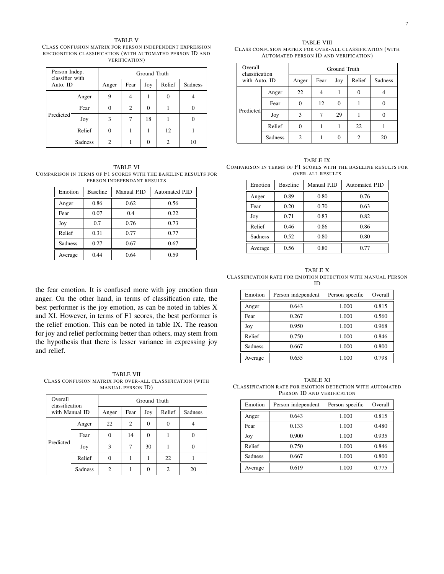TABLE V CLASS CONFUSION MATRIX FOR PERSON INDEPENDENT EXPRESSION RECOGNITION CLASSIFICATION (WITH AUTOMATED PERSON ID AND VERIFICATION)

| Person Indep.<br>classifier with<br>Auto. ID |         | Ground Truth |      |     |        |         |  |
|----------------------------------------------|---------|--------------|------|-----|--------|---------|--|
|                                              |         | Anger        | Fear | Joy | Relief | Sadness |  |
|                                              | Anger   | 9            |      |     | 0      |         |  |
| Predicted                                    | Fear    |              | 2    |     |        |         |  |
|                                              | Joy     | 3            |      | 18  |        |         |  |
|                                              | Relief  |              |      |     | 12     |         |  |
|                                              | Sadness | 2            |      |     | 2      | 10      |  |

TABLE VI COMPARISON IN TERMS OF F1 SCORES WITH THE BASELINE RESULTS FOR PERSON INDEPENDANT RESULTS

| Emotion | <b>Baseline</b> | Manual P.ID | Automated P.ID |
|---------|-----------------|-------------|----------------|
| Anger   | 0.86            | 0.62        | 0.56           |
| Fear    | 0.07            | 0.4         | 0.22           |
| Joy     | 0.7             | 0.76        | 0.73           |
| Relief  | 0.31            | 0.77        | 0.77           |
| Sadness | 0.27            | 0.67        | 0.67           |
| Average | 0.44            | 0.64        | 0.59           |

the fear emotion. It is confused more with joy emotion than anger. On the other hand, in terms of classification rate, the best performer is the joy emotion, as can be noted in tables X and XI. However, in terms of F1 scores, the best performer is the relief emotion. This can be noted in table IX. The reason for joy and relief performing better than others, may stem from the hypothesis that there is lesser variance in expressing joy and relief.

TABLE VII CLASS CONFUSION MATRIX FOR OVER-ALL CLASSIFICATION (WITH MANUAL PERSON ID)

| Overall<br>classification<br>with Manual ID |         | Ground Truth |                |     |          |         |  |
|---------------------------------------------|---------|--------------|----------------|-----|----------|---------|--|
|                                             |         | Anger        | Fear           | Joy | Relief   | Sadness |  |
|                                             | Anger   | 22           | $\overline{c}$ |     | $\Omega$ |         |  |
| Predicted                                   | Fear    |              | 14             | 0   |          |         |  |
|                                             | Joy     | 3            | 7              | 30  |          |         |  |
|                                             | Relief  |              |                |     | 22       |         |  |
|                                             | Sadness | 2            |                |     | っ        | 20      |  |

TABLE VIII CLASS CONFUSION MATRIX FOR OVER-ALL CLASSIFICATION (WITH AUTOMATED PERSON ID AND VERIFICATION)

| Overall<br>classification<br>with Auto. ID |         | Ground Truth |      |          |        |         |
|--------------------------------------------|---------|--------------|------|----------|--------|---------|
|                                            |         | Anger        | Fear | Joy      | Relief | Sadness |
|                                            | Anger   | 22           |      |          | 0      | 4       |
|                                            | Fear    | 0            | 12   | $\Omega$ |        |         |
| Predicted                                  | Joy     | 3            |      | 29       |        |         |
|                                            | Relief  | $_{0}$       |      |          | 22     |         |
|                                            | Sadness | 2            |      |          | 2      | 20      |

TABLE IX COMPARISON IN TERMS OF F1 SCORES WITH THE BASELINE RESULTS FOR OVER-ALL RESULTS

| Emotion | <b>Baseline</b> | Manual P.ID | Automated P.ID |
|---------|-----------------|-------------|----------------|
| Anger   | 0.89            | 0.80        | 0.76           |
| Fear    | 0.20            | 0.70        | 0.63           |
| Joy     | 0.71            | 0.83        | 0.82           |
| Relief  | 0.46            | 0.86        | 0.86           |
| Sadness | 0.52            | 0.80        | 0.80           |
| Average | 0.56            | 0.80        | 0.77           |

TABLE X CLASSIFICATION RATE FOR EMOTION DETECTION WITH MANUAL PERSON ID

| Emotion        | Person independent | Person specific | Overall |
|----------------|--------------------|-----------------|---------|
| Anger          | 0.643              | 1.000           | 0.815   |
| Fear           | 0.267              | 1.000           | 0.560   |
| Joy            | 0.950              | 1.000           | 0.968   |
| Relief         | 0.750              | 1.000           | 0.846   |
| <b>Sadness</b> | 0.667              | 1.000           | 0.800   |
| Average        | 0.655              | 1.000           | 0.798   |

TABLE XI CLASSIFICATION RATE FOR EMOTION DETECTION WITH AUTOMATED PERSON ID AND VERIFICATION

| Emotion        | Person independent | Person specific | Overall |
|----------------|--------------------|-----------------|---------|
| Anger          | 0.643              | 1.000           | 0.815   |
| Fear           | 0.133              | 1.000           | 0.480   |
| Joy            | 0.900              | 1.000           | 0.935   |
| Relief         | 0.750              | 1.000           | 0.846   |
| <b>Sadness</b> | 0.667              | 1.000           | 0.800   |
| Average        | 0.619              | 1.000           | 0.775   |